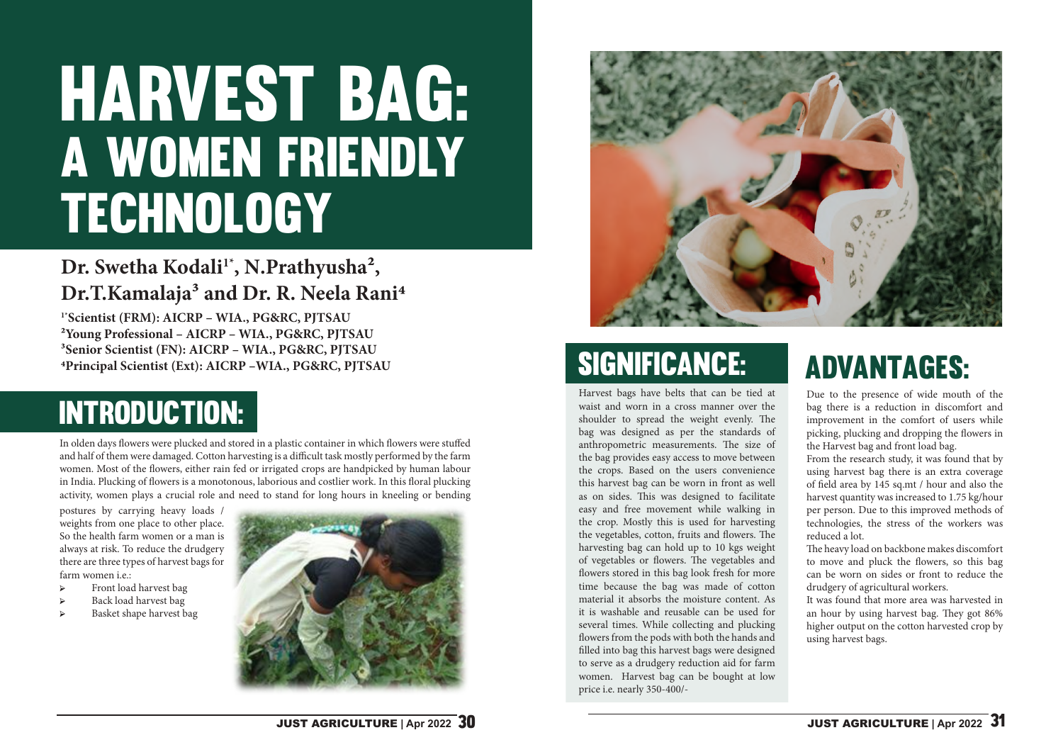# HARVEST BAG: A WOMEN FRIENDLY TECHNOLOGY

### Dr. Swetha Kodali<sup>1\*</sup>, N.Prathyusha<sup>2</sup>, Dr.T.Kamalaja<sup>3</sup> and Dr. R. Neela Rani<sup>4</sup>

**1\*Scientist (FRM): AICRP – WIA., PG&RC, PJTSAU 2Young Professional – AICRP – WIA., PG&RC, PJTSAU 3Senior Scientist (FN): AICRP – WIA., PG&RC, PJTSAU 4Principal Scientist (Ext): AICRP –WIA., PG&RC, PJTSAU**

In olden days flowers were plucked and stored in a plastic container in which flowers were stuffed and half of them were damaged. Cotton harvesting is a difficult task mostly performed by the farm women. Most of the flowers, either rain fed or irrigated crops are handpicked by human labour in India. Plucking of flowers is a monotonous, laborious and costlier work. In this floral plucking activity, women plays a crucial role and need to stand for long hours in kneeling or bending

## Introduction:

Harvest bags have belts that can be tied at waist and worn in a cross manner over the shoulder to spread the weight evenly. The bag was designed as per the standards of anthropometric measurements. The size of the bag provides easy access to move between the crops. Based on the users convenience this harvest bag can be worn in front as well as on sides. This was designed to facilitate easy and free movement while walking in the crop. Mostly this is used for harvesting the vegetables, cotton, fruits and flowers. The harvesting bag can hold up to 10 kgs weight of vegetables or flowers. The vegetables and flowers stored in this bag look fresh for more time because the bag was made of cotton material it absorbs the moisture content. As it is washable and reusable can be used for several times. While collecting and plucking flowers from the pods with both the hands and filled into bag this harvest bags were designed to serve as a drudgery reduction aid for farm women. Harvest bag can be bought at low price i.e. nearly 350-400/-

Due to the presence of wide mouth of the bag there is a reduction in discomfort and improvement in the comfort of users while picking, plucking and dropping the flowers in the Harvest bag and front load bag.

From the research study, it was found that by using harvest bag there is an extra coverage of field area by 145 sq.mt / hour and also the harvest quantity was increased to 1.75 kg/hour per person. Due to this improved methods of technologies, the stress of the workers was reduced a lot.

The heavy load on backbone makes discomfort to move and pluck the flowers, so this bag can be worn on sides or front to reduce the drudgery of agricultural workers.

It was found that more area was harvested in an hour by using harvest bag. They got 86% higher output on the cotton harvested crop by using harvest bags.

postures by carrying heavy loads / weights from one place to other place. So the health farm women or a man is always at risk. To reduce the drudgery there are three types of harvest bags for farm women i.e.:

- Ֆ Front load harvest bag
- $\triangleright$  Back load harvest bag
- Ֆ Basket shape harvest bag





### SIGNIFICANCE: ADVANTAGES: